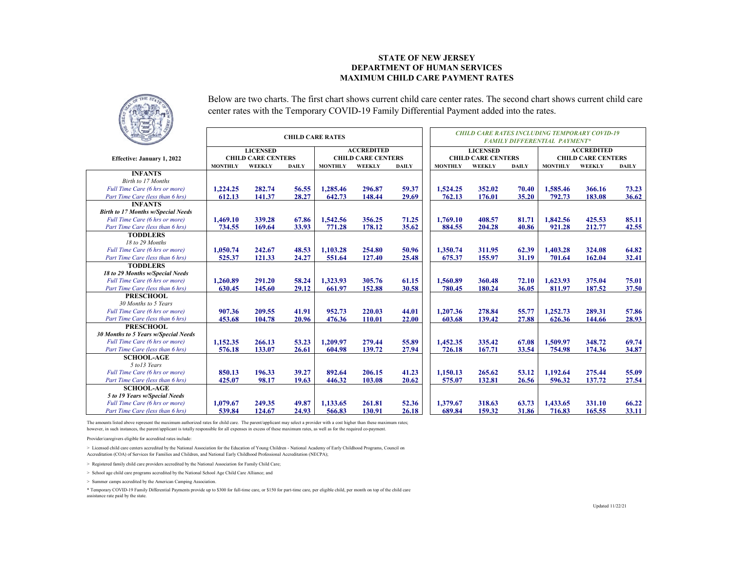## **STATE OF NEW JERSEY DEPARTMENT OF HUMAN SERVICESMAXIMUM CHILD CARE PAYMENT RATES**



Below are two charts. The first chart shows current child care center rates. The second chart shows current child care center rates with the Temporary COVID-19 Family Differential Payment added into the rates.

|                                           |                |                           | <b>CHILD CARE RATES</b> |                |                           |              | <b>CHILD CARE RATES INCLUDING TEMPORARY COVID-19</b><br><b>FAMILY DIFFERENTIAL PAYMENT*</b> |                           |              |                           |        |              |  |  |
|-------------------------------------------|----------------|---------------------------|-------------------------|----------------|---------------------------|--------------|---------------------------------------------------------------------------------------------|---------------------------|--------------|---------------------------|--------|--------------|--|--|
|                                           |                | <b>LICENSED</b>           |                         |                | <b>ACCREDITED</b>         |              |                                                                                             | <b>LICENSED</b>           |              | <b>ACCREDITED</b>         |        |              |  |  |
| Effective: January 1, 2022                |                | <b>CHILD CARE CENTERS</b> |                         |                | <b>CHILD CARE CENTERS</b> |              |                                                                                             | <b>CHILD CARE CENTERS</b> |              | <b>CHILD CARE CENTERS</b> |        |              |  |  |
|                                           | <b>MONTHLY</b> | <b>WEEKLY</b>             | <b>DAILY</b>            | <b>MONTHLY</b> | WEEKLY                    | <b>DAILY</b> | <b>MONTHLY</b>                                                                              | WEEKLY                    | <b>DAILY</b> | <b>MONTHLY</b>            | WEEKLY | <b>DAILY</b> |  |  |
| <b>INFANTS</b>                            |                |                           |                         |                |                           |              |                                                                                             |                           |              |                           |        |              |  |  |
| Birth to 17 Months                        |                |                           |                         |                |                           |              |                                                                                             |                           |              |                           |        |              |  |  |
| Full Time Care (6 hrs or more)            | 1.224.25       | 282.74                    | 56.55                   | 1.285.46       | 296.87                    | 59.37        | 1,524.25                                                                                    | 352.02                    | 70.40        | 1,585.46                  | 366.16 | 73.23        |  |  |
| Part Time Care (less than 6 hrs)          | 612.13         | 141.37                    | 28.27                   | 642.73         | 148.44                    | 29.69        | 762.13                                                                                      | 176.01                    | 35.20        | 792.73                    | 183.08 | 36.62        |  |  |
| <b>INFANTS</b>                            |                |                           |                         |                |                           |              |                                                                                             |                           |              |                           |        |              |  |  |
| <b>Birth to 17 Months w/Special Needs</b> |                |                           |                         |                |                           |              |                                                                                             |                           |              |                           |        |              |  |  |
| Full Time Care (6 hrs or more)            | 1,469.10       | 339.28                    | 67.86                   | 1,542.56       | 356.25                    | 71.25        | 1,769.10                                                                                    | 408.57                    | 81.71        | 1,842.56                  | 425.53 | 85.11        |  |  |
| Part Time Care (less than 6 hrs)          | 734.55         | 169.64                    | 33.93                   | 771.28         | 178.12                    | 35.62        | 884.55                                                                                      | 204.28                    | 40.86        | 921.28                    | 212.77 | 42.55        |  |  |
| <b>TODDLERS</b>                           |                |                           |                         |                |                           |              |                                                                                             |                           |              |                           |        |              |  |  |
| 18 to 29 Months                           |                |                           |                         |                |                           |              |                                                                                             |                           |              |                           |        |              |  |  |
| Full Time Care (6 hrs or more)            | 1.050.74       | 242.67                    | 48.53                   | 1.103.28       | 254.80                    | 50.96        | 1.350.74                                                                                    | 311.95                    | 62.39        | 1.403.28                  | 324.08 | 64.82        |  |  |
| Part Time Care (less than 6 hrs)          | 525.37         | 121.33                    | 24.27                   | 551.64         | 127.40                    | 25.48        | 675.37                                                                                      | 155.97                    | 31.19        | 701.64                    | 162.04 | 32.41        |  |  |
| <b>TODDLERS</b>                           |                |                           |                         |                |                           |              |                                                                                             |                           |              |                           |        |              |  |  |
| 18 to 29 Months w/Special Needs           |                |                           |                         |                |                           |              |                                                                                             |                           |              |                           |        |              |  |  |
| Full Time Care (6 hrs or more)            | 1,260.89       | 291.20                    | 58.24                   | 1.323.93       | 305.76                    | 61.15        | 1,560.89                                                                                    | 360.48                    | 72.10        | 1.623.93                  | 375.04 | 75.01        |  |  |
| Part Time Care (less than 6 hrs)          | 630.45         | 145.60                    | 29.12                   | 661.97         | 152.88                    | 30.58        | 780.45                                                                                      | 180.24                    | 36.05        | 811.97                    | 187.52 | 37.50        |  |  |
| <b>PRESCHOOL</b>                          |                |                           |                         |                |                           |              |                                                                                             |                           |              |                           |        |              |  |  |
| 30 Months to 5 Years                      |                |                           |                         |                |                           |              |                                                                                             |                           |              |                           |        |              |  |  |
| Full Time Care (6 hrs or more)            | 907.36         | 209.55                    | 41.91                   | 952.73         | 220.03                    | 44.01        | 1,207.36                                                                                    | 278.84                    | 55.77        | 1.252.73                  | 289.31 | 57.86        |  |  |
| Part Time Care (less than 6 hrs)          | 453.68         | 104.78                    | 20.96                   | 476.36         | 110.01                    | 22.00        | 603.68                                                                                      | 139.42                    | 27.88        | 626.36                    | 144.66 | 28.93        |  |  |
| <b>PRESCHOOL</b>                          |                |                           |                         |                |                           |              |                                                                                             |                           |              |                           |        |              |  |  |
| 30 Months to 5 Years w/Special Needs      |                |                           |                         |                |                           |              |                                                                                             |                           |              |                           |        |              |  |  |
| Full Time Care (6 hrs or more)            | 1.152.35       | 266.13                    | 53.23                   | 1.209.97       | 279.44                    | 55.89        | 1.452.35                                                                                    | 335.42                    | 67.08        | 1.509.97                  | 348.72 | 69.74        |  |  |
| Part Time Care (less than 6 hrs)          | 576.18         | 133.07                    | 26.61                   | 604.98         | 139.72                    | 27.94        | 726.18                                                                                      | 167.71                    | 33.54        | 754.98                    | 174.36 | 34.87        |  |  |
| <b>SCHOOL-AGE</b>                         |                |                           |                         |                |                           |              |                                                                                             |                           |              |                           |        |              |  |  |
| 5 to 13 Years                             |                |                           |                         |                |                           |              |                                                                                             |                           |              |                           |        |              |  |  |
| Full Time Care (6 hrs or more)            | 850.13         | 196.33                    | 39.27                   | 892.64         | 206.15                    | 41.23        | 1,150.13                                                                                    | 265.62                    | 53.12        | 1,192.64                  | 275.44 | 55.09        |  |  |
| Part Time Care (less than 6 hrs)          | 425.07         | 98.17                     | 19.63                   | 446.32         | 103.08                    | 20.62        | 575.07                                                                                      | 132.81                    | 26.56        | 596.32                    | 137.72 | 27.54        |  |  |
| <b>SCHOOL-AGE</b>                         |                |                           |                         |                |                           |              |                                                                                             |                           |              |                           |        |              |  |  |
| 5 to 19 Years w/Special Needs             |                |                           |                         |                |                           |              |                                                                                             |                           |              |                           |        |              |  |  |
| Full Time Care (6 hrs or more)            | 1,079.67       | 249.35                    | 49.87                   | 1,133.65       | 261.81                    | 52.36        | 1.379.67                                                                                    | 318.63                    | 63.73        | 1.433.65                  | 331.10 | 66.22        |  |  |
| Part Time Care (less than 6 hrs)          | 539.84         | 124.67                    | 24.93                   | 566.83         | 130.91                    | 26.18        | 689.84                                                                                      | 159.32                    | 31.86        | 716.83                    | 165.55 | 33.11        |  |  |

The amounts listed above represent the maximum authorized rates for child care. The parent/applicant may select a provider with a cost higher than these maximum rates; however, in such instances, the parent/applicant is totally responsible for all expenses in excess of these maximum rates, as well as for the required co-payment.

Provider/caregivers eligible for accredited rates include:

> Licensed child care centers accredited by the National Association for the Education of Young Children - National Academy of Early Childhood Programs, Council on Accreditation (COA) of Services for Families and Children, and National Early Childhood Professional Accreditation (NECPA);

> Registered family child care providers accredited by the National Association for Family Child Care;

> School age child care programs accredited by the National School Age Child Care Alliance; and

> Summer camps accredited by the American Camping Association.

\* Temporary COVID-19 Family Differential Payments provide up to \$300 for full-time care, or \$150 for part-time care, per eligible child, per month on top of the child care assistance rate paid by the state.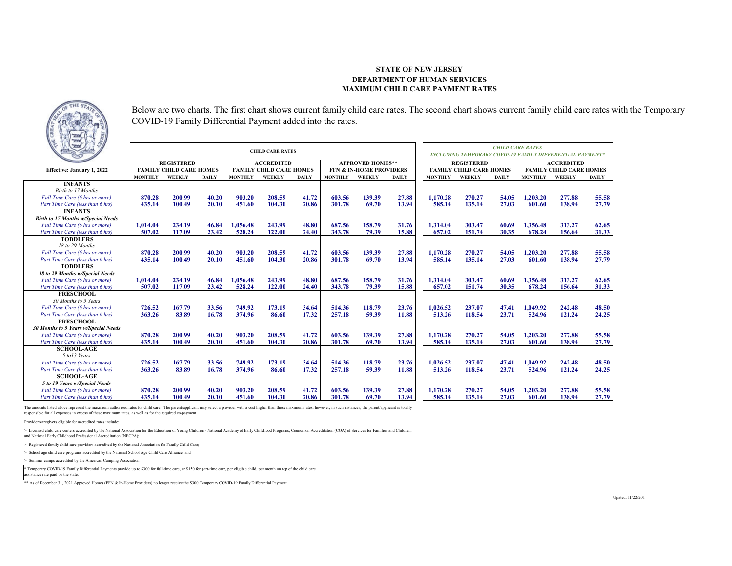## **STATE OF NEW JERSEYDEPARTMENT OF HUMAN SERVICESMAXIMUM CHILD CARE PAYMENT RATES**



Below are two charts. The first chart shows current family child care rates. The second chart shows current family child care rates with the Temporary COVID-19 Family Differential Payment added into the rates.

| $\sqrt{2}$                                |                |                                |              |                | <b>CHILD CARE RATES</b>        | <b>CHILD CARE RATES</b><br>INCLUDING TEMPORARY COVID-19 FAMILY DIFFERENTIAL PAYMENT* |                |                                    |              |                |                                |              |                                |        |              |  |
|-------------------------------------------|----------------|--------------------------------|--------------|----------------|--------------------------------|--------------------------------------------------------------------------------------|----------------|------------------------------------|--------------|----------------|--------------------------------|--------------|--------------------------------|--------|--------------|--|
|                                           |                | <b>REGISTERED</b>              |              |                | <b>ACCREDITED</b>              |                                                                                      |                | <b>APPROVED HOMES**</b>            |              |                | <b>REGISTERED</b>              |              | <b>ACCREDITED</b>              |        |              |  |
| Effective: January 1, 2022                |                | <b>FAMILY CHILD CARE HOMES</b> |              |                | <b>FAMILY CHILD CARE HOMES</b> |                                                                                      |                | <b>FFN &amp; IN-HOME PROVIDERS</b> |              |                | <b>FAMILY CHILD CARE HOMES</b> |              | <b>FAMILY CHILD CARE HOMES</b> |        |              |  |
|                                           | <b>MONTHLY</b> | WEEKLY                         | <b>DAILY</b> | <b>MONTHLY</b> | WEEKLY                         | <b>DAILY</b>                                                                         | <b>MONTHLY</b> | WEEKLY                             | <b>DAILY</b> | <b>MONTHLY</b> | <b>WEEKLY</b>                  | <b>DAILY</b> | <b>MONTHLY</b>                 | WEEKLY | <b>DAILY</b> |  |
| <b>INFANTS</b>                            |                |                                |              |                |                                |                                                                                      |                |                                    |              |                |                                |              |                                |        |              |  |
| Birth to 17 Months                        |                |                                |              |                |                                |                                                                                      |                |                                    |              |                |                                |              |                                |        |              |  |
| Full Time Care (6 hrs or more)            | 870.28         | 200.99                         | 40.20        | 903.20         | 208.59                         | 41.72                                                                                | 603.56         | 139.39                             | 27.88        | 1.170.28       | 270.27                         | 54.05        | 1,203.20                       | 277.88 | 55.58        |  |
| Part Time Care (less than 6 hrs)          | 435.14         | 100.49                         | 20.10        | 451.60         | 104.30                         | 20.86                                                                                | 301.78         | 69.70                              | 13.94        | 585.14         | 135.14                         | 27.03        | 601.60                         | 138.94 | 27.79        |  |
| <b>INFANTS</b>                            |                |                                |              |                |                                |                                                                                      |                |                                    |              |                |                                |              |                                |        |              |  |
| <b>Birth to 17 Months w/Special Needs</b> |                |                                |              |                |                                |                                                                                      |                |                                    |              |                |                                |              |                                |        |              |  |
| Full Time Care (6 hrs or more)            | 1.014.04       | 234.19                         | 46.84        | 1,056.48       | 243.99                         | 48.80                                                                                | 687.56         | 158.79                             | 31.76        | 1.314.04       | 303.47                         | 60.69        | 1.356.48                       | 313.27 | 62.65        |  |
| Part Time Care (less than 6 hrs)          | 507.02         | 117.09                         | 23.42        | 528.24         | 122.00                         | 24.40                                                                                | 343.78         | 79.39                              | 15.88        | 657.02         | 151.74                         | 30.35        | 678.24                         | 156.64 | 31.33        |  |
| <b>TODDLERS</b>                           |                |                                |              |                |                                |                                                                                      |                |                                    |              |                |                                |              |                                |        |              |  |
| 18 to 29 Months                           |                |                                |              |                |                                |                                                                                      |                |                                    |              |                |                                |              |                                |        |              |  |
| Full Time Care (6 hrs or more)            | 870.28         | 200.99                         | 40.20        | 903.20         | 208.59                         | 41.72                                                                                | 603.56         | 139.39                             | 27.88        | 1,170.28       | 270.27                         | 54.05        | 1,203.20                       | 277.88 | 55.58        |  |
| Part Time Care (less than 6 hrs)          | 435.14         | 100.49                         | 20.10        | 451.60         | 104.30                         | 20.86                                                                                | 301.78         | 69.70                              | 13.94        | 585.14         | 135.14                         | 27.03        | 601.60                         | 138.94 | 27.79        |  |
| <b>TODDLERS</b>                           |                |                                |              |                |                                |                                                                                      |                |                                    |              |                |                                |              |                                |        |              |  |
| 18 to 29 Months w/Special Needs           |                |                                |              |                |                                |                                                                                      |                |                                    |              |                |                                |              |                                |        |              |  |
| Full Time Care (6 hrs or more)            | 1.014.04       | 234.19                         | 46.84        | 1.056.48       | 243.99                         | 48.80                                                                                | 687.56         | 158.79                             | 31.76        | 1.314.04       | 303.47                         | 60.69        | 1.356.48                       | 313.27 | 62.65        |  |
| Part Time Care (less than 6 hrs)          | 507.02         | 117.09                         | 23.42        | 528.24         | 122.00                         | 24.40                                                                                | 343.78         | 79.39                              | 15.88        | 657.02         | 151.74                         | 30.35        | 678.24                         | 156.64 | 31.33        |  |
| <b>PRESCHOOL</b>                          |                |                                |              |                |                                |                                                                                      |                |                                    |              |                |                                |              |                                |        |              |  |
| 30 Months to 5 Years                      |                |                                |              |                |                                |                                                                                      |                |                                    |              |                |                                |              |                                |        |              |  |
| Full Time Care (6 hrs or more)            | 726.52         | 167.79                         | 33.56        | 749.92         | 173.19                         | 34.64                                                                                | 514.36         | 118.79                             | 23.76        | 1,026.52       | 237.07                         | 47.41        | 1.049.92                       | 242.48 | 48.50        |  |
| Part Time Care (less than 6 hrs)          | 363.26         | 83.89                          | 16.78        | 374.96         | 86.60                          | 17.32                                                                                | 257.18         | 59.39                              | 11.88        | 513.26         | 118.54                         | 23.71        | 524.96                         | 121.24 | 24.25        |  |
| <b>PRESCHOOL</b>                          |                |                                |              |                |                                |                                                                                      |                |                                    |              |                |                                |              |                                |        |              |  |
| 30 Months to 5 Years w/Special Needs      |                |                                |              |                |                                |                                                                                      |                |                                    |              |                |                                |              |                                |        |              |  |
| Full Time Care (6 hrs or more)            | 870.28         | 200.99                         | 40.20        | 903.20         | 208.59                         | 41.72                                                                                | 603.56         | 139.39                             | 27.88        | 1,170.28       | 270.27                         | 54.05        | 1.203.20                       | 277.88 | 55.58        |  |
| Part Time Care (less than 6 hrs)          | 435.14         | 100.49                         | 20.10        | 451.60         | 104.30                         | 20.86                                                                                | 301.78         | 69.70                              | 13.94        | 585.14         | 135.14                         | 27.03        | 601.60                         | 138.94 | 27.79        |  |
| <b>SCHOOL-AGE</b>                         |                |                                |              |                |                                |                                                                                      |                |                                    |              |                |                                |              |                                |        |              |  |
| 5 to 13 Years                             |                |                                |              |                |                                |                                                                                      |                |                                    |              |                |                                |              |                                |        |              |  |
| Full Time Care (6 hrs or more)            | 726.52         | 167.79                         | 33.56        | 749.92         | 173.19                         | 34.64                                                                                | 514.36         | 118.79                             | 23.76        | 1,026.52       | 237.07                         | 47.41        | 1,049.92                       | 242.48 | 48.50        |  |
| Part Time Care (less than 6 hrs)          | 363.26         | 83.89                          | 16.78        | 374.96         | 86.60                          | 17.32                                                                                | 257.18         | 59.39                              | 11.88        | 513.26         | 118.54                         | 23.71        | 524.96                         | 121.24 | 24.25        |  |
| <b>SCHOOL-AGE</b>                         |                |                                |              |                |                                |                                                                                      |                |                                    |              |                |                                |              |                                |        |              |  |
| 5 to 19 Years w/Special Needs             |                |                                |              |                |                                |                                                                                      |                |                                    |              |                |                                |              |                                |        |              |  |
| Full Time Care (6 hrs or more)            | 870.28         | 200.99                         | 40.20        | 903.20         | 208.59                         | 41.72                                                                                | 603.56         | 139.39                             | 27.88        | 1.170.28       | 270.27                         | 54.05        | 1,203.20                       | 277.88 | 55.58        |  |
| Part Time Care (less than 6 hrs)          | 435.14         | 100.49                         | 20.10        | 451.60         | 104.30                         | 20.86                                                                                | 301.78         | 69.70                              | 13.94        | 585.14         | 135.14                         | 27.03        | 601.60                         | 138.94 | 27.79        |  |

The amounts listed above represent the maximum authorized rates for child care. The parent/applicant may select a provider with a cost higher than these maximum rates; however, in such instances, the parent/applicant is to responsible for all expenses in excess of these maximum rates, as well as for the required co-payment.

Provider/caregivers eligible for accredited rates include:

> Licensed child care centers accredited by the National Association for the Education of Young Children - National Academy of Early Childhood Programs, Council on Accreditation (COA) of Services for Families and Children,

and National Early Childhood Professional Accreditation (NECPA);

> Registered family child care providers accredited by the National Association for Family Child Care;

> School age child care programs accredited by the National School Age Child Care Alliance; and

> Summer camps accredited by the American Camping Association.

\* Temporary COVID-19 Family Differential Payments provide up to \$300 for full-time care, or \$150 for part-time care, per eligible child, per month on top of the child care

sistance rate paid by the state.

\*\* As of December 31, 2021 Approved Homes (FFN & In-Home Providers) no longer receive the \$300 Temporary COVID-19 Family Differential Payment.